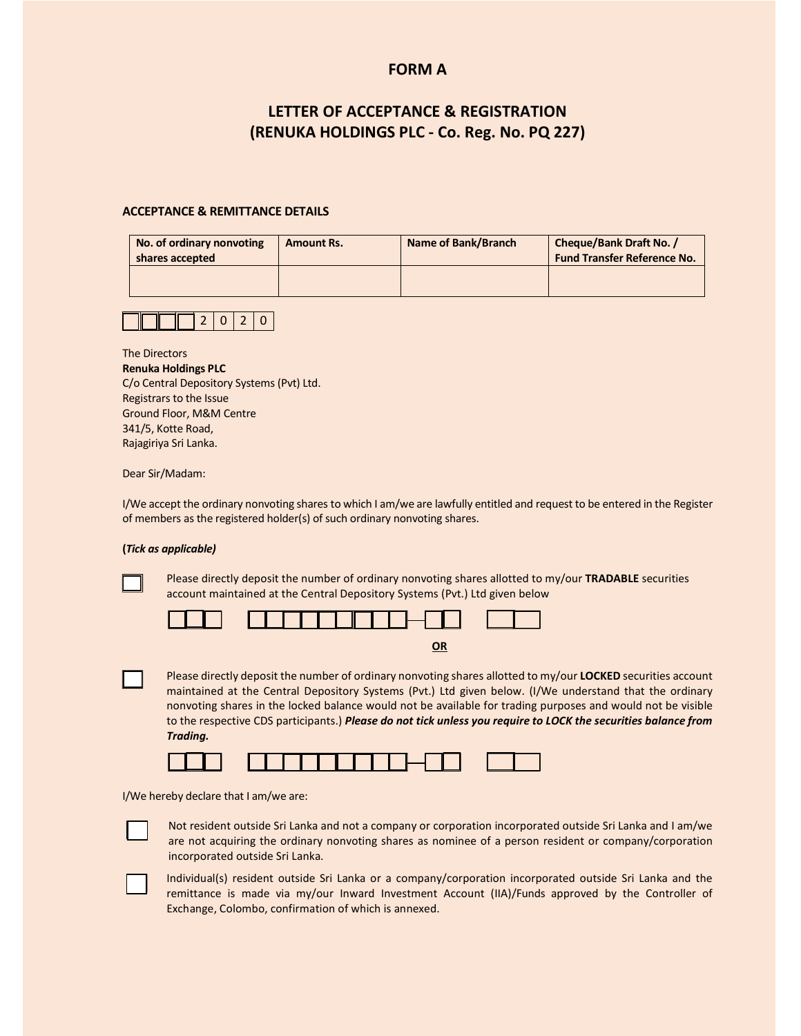### **FORM A**

## **LETTER OF ACCEPTANCE & REGISTRATION (RENUKA HOLDINGS PLC - Co. Reg. No. PQ 227)**

### **ACCEPTANCE & REMITTANCE DETAILS**

| No. of ordinary nonvoting<br>shares accepted | <b>Amount Rs.</b> | Name of Bank/Branch | Cheque/Bank Draft No. /<br><b>Fund Transfer Reference No.</b> |  |
|----------------------------------------------|-------------------|---------------------|---------------------------------------------------------------|--|
|                                              |                   |                     |                                                               |  |

# $2 | 0 | 2 | 0$

The Directors

| <b>Renuka Holdings PLC</b>                |
|-------------------------------------------|
| C/o Central Depository Systems (Pvt) Ltd. |
| Registrars to the Issue                   |
| <b>Ground Floor, M&amp;M Centre</b>       |
| 341/5, Kotte Road,                        |
| Rajagiriya Sri Lanka.                     |

Dear Sir/Madam:

I/We accept the ordinary nonvoting shares to which I am/we are lawfully entitled and request to be entered in the Register of members as the registered holder(s) of such ordinary nonvoting shares.

### **(***Tick as applicable)*

Please directly deposit the number of ordinary nonvoting shares allotted to my/our **TRADABLE** securities account maintained at the Central Depository Systems (Pvt.) Ltd given below



| ٠ |  |
|---|--|
|   |  |

Please directly deposit the number of ordinary nonvoting shares allotted to my/our **LOCKED** securities account maintained at the Central Depository Systems (Pvt.) Ltd given below. (I/We understand that the ordinary nonvoting shares in the locked balance would not be available for trading purposes and would not be visible to the respective CDS participants.) *Please do not tick unless you require to LOCK the securities balance from Trading.*



I/We hereby declare that I am/we are:

Not resident outside Sri Lanka and not a company or corporation incorporated outside Sri Lanka and I am/we are not acquiring the ordinary nonvoting shares as nominee of a person resident or company/corporation incorporated outside Sri Lanka.

Individual(s) resident outside Sri Lanka or a company/corporation incorporated outside Sri Lanka and the remittance is made via my/our Inward Investment Account (IIA)/Funds approved by the Controller of Exchange, Colombo, confirmation of which is annexed.